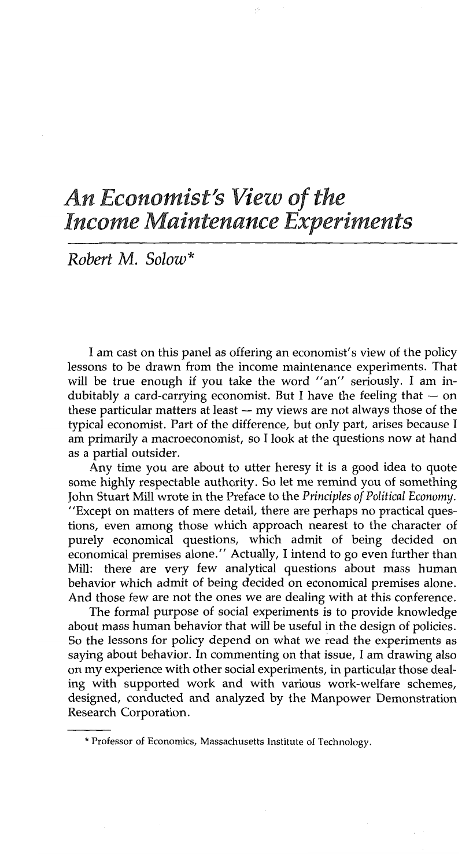# *An Economist's View of the Income Maintenance Experiments*

*Robert M. Solow\**

I am cast on this panel as offering an economist's view of the policy lessons to be drawn from the income maintenance experiments. That will be true enough if you take the word "an" seriously. I am indubitably a card-carrying economist. But I have the feeling that  $-$  on these particular matters at least  $-$  my views are not always those of the typical economist. Part of the difference, but only part, arises because I am primarily a macroeconomist, so I look at the questions now at hand as a partial outsider.

Any time you are about to utter heresy it is a good idea to quote some highly respectable authority. So let me remind you of something John Stuart Mill wrote in the Preface to the *Principles of Political Economy.* "Except on matters of mere detail, there are perhaps no practical questions, even among those which approach nearest to the character of purely economical questions, which admit of being decided on economical premises alone." Actually, I intend to go even further than Mill: there are very few analytical questions about mass human behavior which admit of being decided on economical premises alone. And those few are not the ones we are dealing with at this conference.

The formal purpose of social experiments is to provide knowledge about mass human behavior that will be useful in the design of policies. So the lessons for policy depend on what we read the experiments as saying about behavior. In commenting on that issue, I am drawing also on my experience with other social experiments, in particular those dealing with supported work and with various work-welfare schemes, designed, conducted and analyzed by the Manpower Demonstration Research Corporation.

<sup>\*</sup> Professor of Economics, Massachusetts Institute of Technology,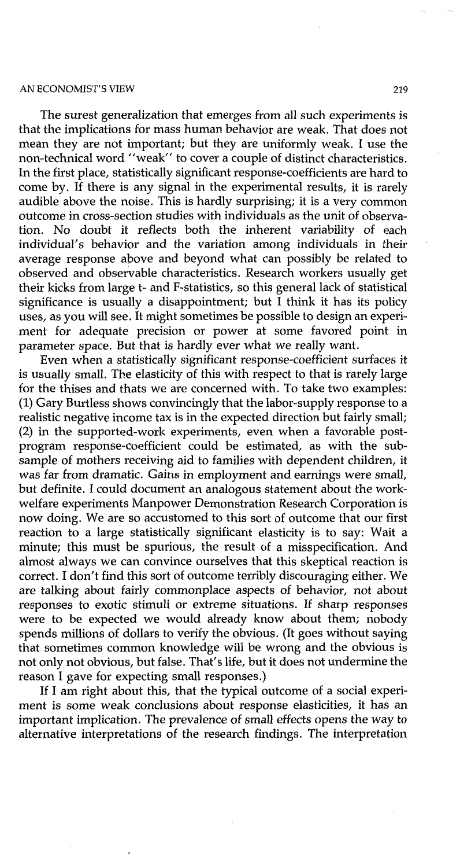### AN ECONOMIST'S VIEW 219

The surest generalization that emerges from all such experiments is that the implications for mass human behavior are weak. That does not mean they are not important; but they are uniformly weak. I use the non-technical word "'weak" to cover a couple of distinct characteristics. In the first place, statistically significant response-coefficients are hard to come by. If there is any signal in the experimental results, it is rarely audible above the noise. This is hardly surprising; it is a very common outcome in cross-section studies with individuals as the unit of observation. No doubt it reflects both the inherent variability of each individual's behavior and the variation among individuals in their average response above and beyond what can possibly be related to observed and observable characteristics. Research workers usually get their kicks from large t- and F-statistics, so this general lack of statistical significance is usually a disappointment; but  $\tilde{I}$  think it has its policy uses, as you will see. It might sometimes be possible to design an experiment for adequate precision or power at some favored point in parameter space. But that is hardly ever what we really want.

Even when a statistically significant response-coefficient surfaces it is usually small. The elasticity of this with respect to that is rarely large for the thises and thats we are concerned with. To take two examples: (1) Gary Burtless shows convincingly that the labor-supply response to a realistic negative income tax is in the expected direction but fairly small; (2) in the supported-work experiments, even when a favorable postprogram response-coefficient could be estimated, as with the subsample of mothers receiving aid to families with dependent children, it was far from dramatic. Gains in employment and earnings were small, but definite. I could document an analogous statement about the workwelfare experiments Manpower Demonstration Research Corporation is now doing. We are so accustomed to this sort of outcome that our first reaction to a large statistically significant elasticity is to say: Wait a minute; this must be spurious, the result of a misspecification. And almost always we can convince ourselves that this skeptical reaction is correct. I don't find this sort of outcome terribly discouraging either. We are talking about fairly commonplace aspects of behavior, not about responses to exotic stimuli or extreme situations. If sharp responses were to be expected we would already know about them; nobody spends millions of dollars to verify the obvious. (It goes without saying that sometimes common knowledge will be wrong and the obvious is not only not obvious, but false. That's life, but it does not undermine the reason I gave for expecting small responses.)

If I am right about this, that the typical outcome of a social experiment is some weak conclusions about response elasticities, it has an important implication. The prevalence of small effects opens the way to alternative interpretations of the research findings. The interpretation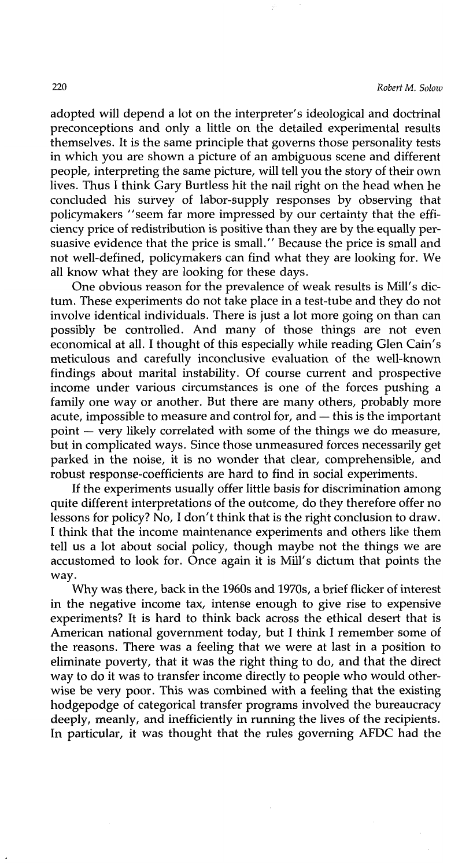adopted will depend a lot on the interpreter's ideological and doctrinal preconceptions and only a little on the detailed experimental results themselves. It is the same principle that governs those personality tests in which you are shown a picture of an ambiguous scene and different people, interpreting the same picture, will tell you the story of their own lives. Thus I think Gary Burtless hit the nail right on the head when he concluded his survey of labor-supply responses by observing that policymakers "seem far more impressed by our certainty that the efficiency price of redistribution is positive than they are by the. equally persuasive evidence that the price is small." Because the price is small and not well-defined, policymakers can find what they are looking for. We all know what they are looking for these days.

One obvious reason for the prevalence of weak results is Mill's dictum. These experiments do not take place in a test-tube and they do not involve identical individuals. There is just a lot more going on than can possibly be controlled. And many of those things are not even economical at all. I thought of this especially while reading Glen Cain's meticulous and carefully inconclusive evaluation of the well-known findings about marital instability. Of course current and prospective income under various circumstances is one of the forces pushing a family one way or another. But there are many others, probably more acute, impossible to measure and control for, and -- this is the important point -- very likely correlated with some of the things we do measure, but in complicated ways. Since those unmeasured forces necessarily get parked in the noise, it is no wonder that clear, comprehensible, and robust response-coefficients are hard to find in social experiments.

If the experiments usually offer little basis for discrimination among quite different interpretations of the outcome, do they therefore offer no lessons for policy? No, I don't think that is the right conclusion to draw. I think that the income maintenance experiments and others like them tell us a lot about social policy, though maybe not the things we are accustomed to look for. Once again it is Mill's dictum that points the way.

Why was there, back in the 1960s and 1970s, a brief flicker of interest in the negative income tax, intense enough to give rise to expensive experiments? It is hard to think back across the ethical desert that is American national government today, but I think I remember some of the reasons. There was a feeling that we were at last in a position to eliminate poverty, that it was the right thing to do, and that the direct way to do it was to transfer income directly to people who would otherwise be very poor. This was combined with a feeling that the existing hodgepodge of categorical transfer programs involved the bureaucracy deeply, meanly, and inefficiently in running the lives of the recipients. In particular, it was thought that the rules governing AFDC had the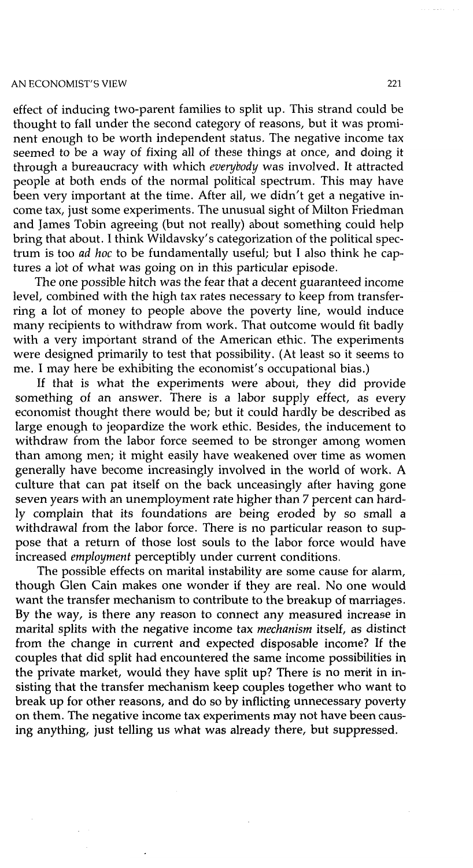#### AN ECONOMIST'S VIEW 221

effect of inducing two-parent families to split up. This strand could be thought to fall under the second category of reasons, but it was prominent enough to be worth independent status. The negative income tax seemed to be a way of fixing all of these things at once, and doing it through a bureaucracy with which *everybody* was involved. It attracted people at both ends of the normal political spectrum. This may have been very important at the time. After all, we didn't get a negative income tax, just some experiments. The unusual sight of Milton Friedman and James Tobin agreeing (but not really) about something could help bring that about. I think Wildavsky's categorization of the political spectrum is too *ad hoc* to be fundamentally useful; but I also think he captures a lot of what was going on in this particular episode.

The one possible hitch was the fear that a decent guaranteed income level, combined with the high tax rates necessary to keep from transferring a lot of money to people above the poverty line, would induce many recipients to withdraw from work. That outcome would fit badly with a very important strand of the American ethic. The experiments were designed primarily to test that possibility. (At least so it seems to me. I may here be exhibiting the economist's occupational bias.)

If that is what the experiments were about, they did provide something of an answer. There is a labor supply effect, as every economist thought there would be; but it could hardly be described as large enough to jeopardize the work ethic. Besides, the inducement to withdraw from the labor force seemed to be stronger among women than among men; it might easily have weakened over time as women generally have become increasingly involved in the world of work. A culture that can pat itself on the back unceasingly after having gone seven years with an unemployment rate higher than 7 percent can hardly complain that its foundations are being eroded by so small a withdrawal from the labor force. There is no particular reason to suppose that a return of those lost souls to the labor force would have increased *employment* perceptibly under current conditions.

The possible effects on marital instability are some cause for alarm, though Glen Cain makes one wonder if they are real. No one would want the transfer mechanism to contribute to the breakup of marriages. By the way, is there any reason to connect any measured increase in marital splits with the negative income tax *mechanism* itself, as distinct from the change in current and expected disposable income? If the couples that did split had encountered the same income possibilities in the private market, would they have split up? There is no merit in insisting that the transfer mechanism keep couples together who want to break up for other reasons, and do so by inflicting unnecessary poverty on them. The negative income tax experiments may not have been causing anything, just telling us what was already there, but suppressed.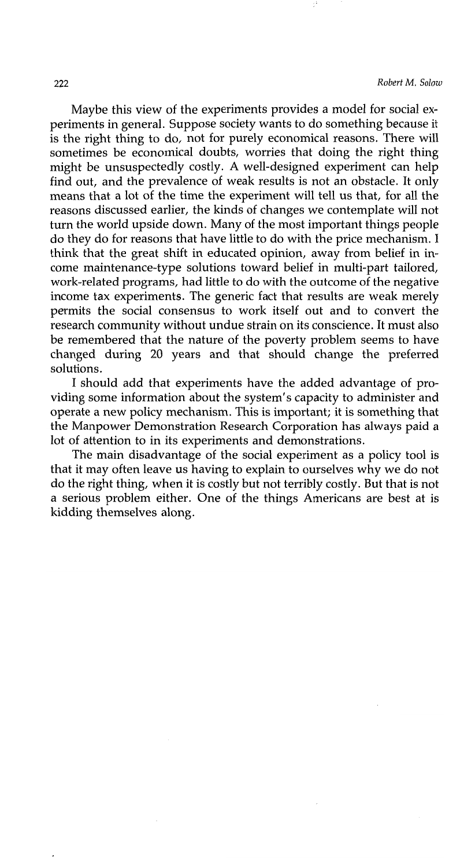Maybe this view of the experiments provides a model for social experiments in general. Suppose society wants to do something because it is the right thing to do, not for purely economical reasons. There will sometimes be economical doubts, worries that doing the right thing might be unsuspectedly costly. A well-designed experiment can help find out, and the prevalence of weak results is not an obstacle. It only means that a lot of the time the experiment will tell us that, for all the reasons discussed earlier, the kinds of changes we contemplate will not turn the world upside down. Many of the most important things people do they do for reasons that have little to do with the price mechanism. I think that the great shift in educated opinion, away from belief in income maintenance-type solutions toward belief in multi-part tailored, work-related programs, had little to do with the outcome of the negative income tax experiments. The generic fact that results are weak merely permits the social consensus to work itself out and to convert the research community without undue strain on its conscience. It must also be remembered that the nature of the poverty problem seems to have changed during 20 years and that should change the preferred solutions.

I should add that experiments have the added advantage of providing some information about the system's capacity to administer and operate a new policy mechanism. This is important; it is something that the Manpower Demonstration Research Corporation has always paid a lot of attention to in its experiments and demonstrations.

The main disadvantage of the social experiment as a policy tool is that it may often leave us having to explain to ourselves why we do not do the right thing, when it is costly but not terribly costly. But that is not a serious problem either. One of the things Americans are best at is kidding themselves along.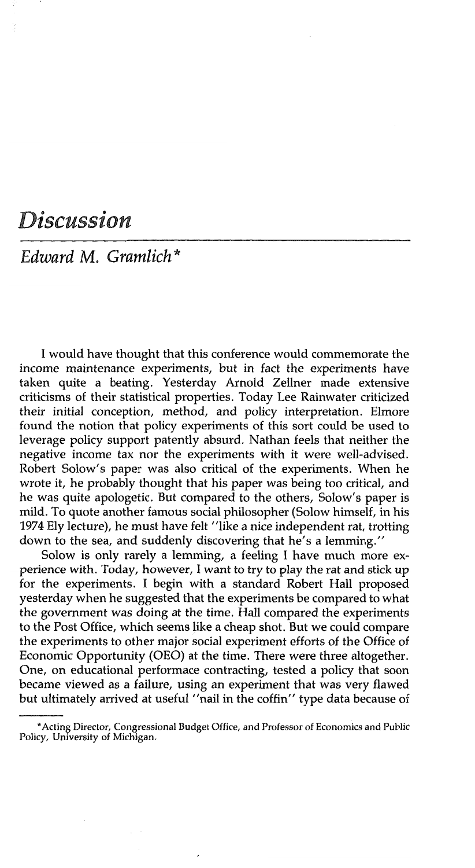## *Discussion*

*Edward M. Gramlich \**

I would have thought that this conference would commemorate the income maintenance experiments, but in fact the experiments have taken quite a beating. Yesterday Arnold Zellner made extensive criticisms of their statistical properties. Today Lee Rainwater criticized their initial conception, method, and policy interpretation. Elmore found the notion that policy experiments of this sort could be used to leverage policy support patently absurd. Nathan feels that neither the negative income tax nor the experiments with it were well-advised. Robert Solow's paper was also critical of the experiments. When he wrote it, he probably thought that his paper was being too critical, and he was quite apologetic. But compared to the others, Solow's paper is mild. To quote another famous social philosopher (Solow himself, in his 1974 Ely lecture), he must have felt "like a nice independent rat, trotting down to the sea, and suddenly discovering that he's a lemming.'"

Solow is only rarely a lemming, a feeling I have much more experience with. Today, however, I want to try to play the rat and stick up for the experiments. I begin with a standard Robert Hall proposed yesterday when he suggested that the experiments be compared to what the government was doing at the time. Hall compared the experiments to the Post Office, which seems like a cheap shot. But we could compare the experiments to other major social experiment efforts of the Office of Economic Opportunity (OEO) at the time. There were three altogether. One, on educational performace contracting, tested a policy that soon became viewed as a failure, using an experiment that was very flawed but ultimately arrived at useful "nail in the coffin" type data because of

<sup>\*</sup>Acting Director, Congressional Budget Office, and Professor of Economics and Public Policy, University of Michigan.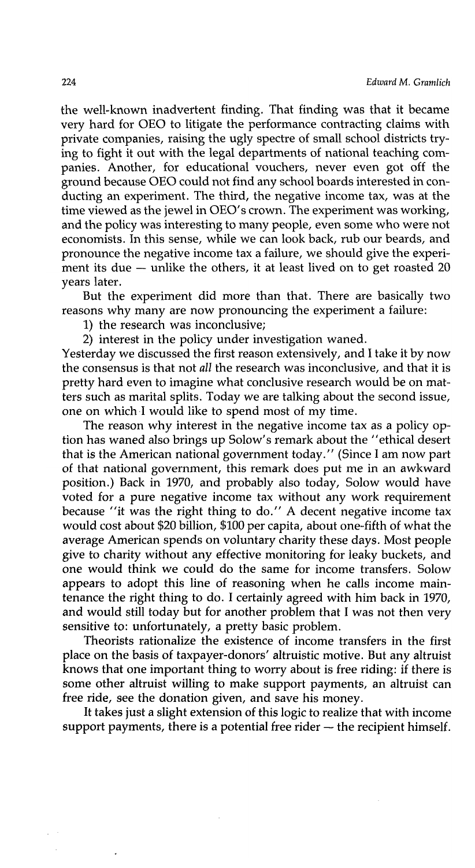the well-known inadvertent finding. That finding was that it became very hard for OEO to litigate the performance contracting claims with private companies, raising the ugly spectre of small school districts trying to fight it out with the legal departments of national teaching companies. Another, for educational vouchers, never even got off the ground because OEO could not find any school boards interested in conducting an experiment. The third, the negative income tax, was at the time viewed as the jewel in OEO's crown. The experiment was working, and the policy was interesting to many people, even some who were not economists. In this sense, while we can look back, rub our beards, and pronounce the negative income tax a failure, we should give the experiment its due  $-$  unlike the others, it at least lived on to get roasted 20 years later.

But the experiment did more than that. There are basically two reasons why many are now pronouncing the experiment a failure:

1) the research was inconclusive;

2) interest in the policy under investigation waned.

Yesterday we discussed the first reason extensively, and I take it by now the consensus is that not *all* the research was inconclusive, and that it is pretty hard even to imagine what conclusive research would be on matters such as marital splits. Today we are talking about the second issue, one on which.I would like to spend most of my time.

The reason why interest in the negative income tax as a policy option has waned also brings up Solow's remark about the "ethical desert that is the American national government today." (Since I am now part of that national government, this remark does put me in an awkward position.) Back in 1970, and probably also today, Solow would have voted for a pure negative income tax without any work requirement because "it was the right thing to do." A decent negative income tax would cost about \$20 billion, \$100 per capita, about one-fifth of what the average American spends on voluntary charity these days. Most people give to charity without any effective monitoring for leaky buckets, and one would think we could do the same for income transfers. Solow appears to adopt this line of reasoning when he calls income maintenance the right thing to do. I certainly agreed with him back in 1970, and would still today but for another problem that I was not then very sensitive to: unfortunately, a pretty basic problem.

Theorists rationalize the existence of income transfers in the first place on the basis of taxpayer-donors' altruistic motive. But any altruist knows that one important thing to worry about is free riding: if there is some other altruist willing to make support payments, an altruist can free ride, see the donation given, and save his money.

It takes just a slight extension of this logic to realize that with income support payments, there is a potential free rider  $-$  the recipient himself.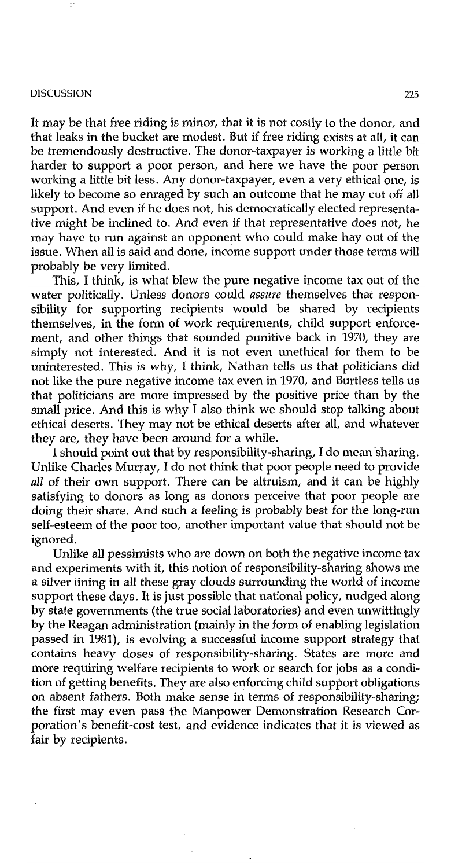#### DISCUSSION 225

It may be that free riding is minor, that it is not costly to the donor, and that leaks in the bucket are modest. But if free riding exists at all, it can be tremendously destructive. The donor-taxpayer is working a little bit harder to support a poor person, and here we have the poor person working a little bit less. Any donor-taxpayer, even a very ethical one, is likely to become so enraged by such an outcome that he may cut off all support. And even if he does not, his democratically elected representative might be inclined to. And even if that representative does not, he may have to run against an opponent who could make hay out of the issue. When all is said and done, income support under those terms will probably be very limited.

This, I think, is what blew the pure negative income tax out of the water politically. Unless donors could *assure* themselves that responsibility for supporting recipients would be shared by recipients themselves, in the form of work requirements, child support enforcement, and other things that sounded punitive back in 1970, they are simply not interested. And it is not even unethical for them to be uninterested. This is why, I think, Nathan tells us that politicians did not like the pure negative income tax even in 1970, and Burtless tells us that politicians are more impressed by the positive price than by the small price. And this is why I also think we should stop talking about ethical deserts. They may not be ethical deserts after all, and whatever they are, they have been around for a while.

I should point out that by responsibility-sharing, I do mean sharing. Unlike Charles Murray, I do not think that poor people need to provide *all* of their own support. There can be altruism, and it can be highly satisfying to donors as long as donors perceive that poor people are doing their share. And such a feeling is probably best for the long-run self-esteem of the poor too, another important value that should not be ignored.

Unlike all pessimists who are down on both the negative income tax and experiments with it, this notion of responsibility-sharing shows me a silver lining in all these gray clouds surrounding the world of income support these days. It is just possible that national policy, nudged along by state governments (the true social laboratories) and even unwittingly by the Reagan administration (mainly in the form of enabling legislation passed in 1981), is evolving a successful income support strategy that contains heavy doses of responsibility-sharing. States are more and more requiring welfare recipients to work or search for jobs as a condition of getting benefits. They are also enforcing child support obligations on absent fathers. Both make sense in terms of responsibility-sharing; the first may even pass the Manpower Demonstration Research Corporation's benefit-cost test, and evidence indicates that it is viewed as fair by recipients.